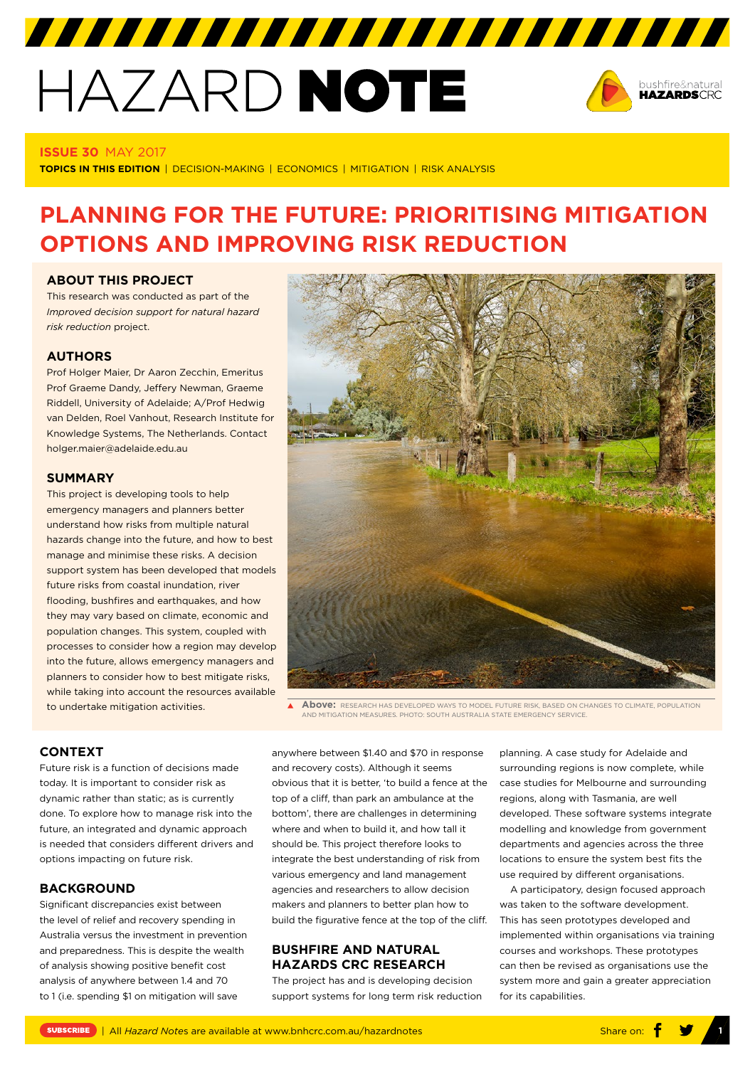# HAZARD NOTE



#### **ISSUE 30** MAY 2017

**TOPICS IN THIS EDITION** | DECISION-MAKING | ECONOMICS | MITIGATION | RISK ANALYSIS

# **PLANNING FOR THE FUTURE: PRIORITISING MITIGATION OPTIONS AND IMPROVING RISK REDUCTION**

### **ABOUT THIS PROJECT**

This research was conducted as part of the *[Improved decision support for natural hazard](http://www.bnhcrc.com.au/research/policy-economics-hazards/230)  [risk reduction](http://www.bnhcrc.com.au/research/policy-economics-hazards/230)* project.

# **AUTHORS**

Prof Holger Maier, Dr Aaron Zecchin, Emeritus Prof Graeme Dandy, Jeffery Newman, Graeme Riddell, University of Adelaide; A/Prof Hedwig van Delden, Roel Vanhout, Research Institute for Knowledge Systems, The Netherlands. Contact holger.maier@adelaide.edu.au

# **SUMMARY**

This project is developing tools to help emergency managers and planners better understand how risks from multiple natural hazards change into the future, and how to best manage and minimise these risks. A decision support system has been developed that models future risks from coastal inundation, river flooding, bushfires and earthquakes, and how they may vary based on climate, economic and population changes. This system, coupled with processes to consider how a region may develop into the future, allows emergency managers and planners to consider how to best mitigate risks, while taking into account the resources available to undertake mitigation activities.



**Above:** RESEARCH HAS DEVELOPED WAYS TO MODEL FUTURE RISK, BASED ON CHANGES TO CLIMATE, POPULATION AND MITIGATION MEASURES. PHOTO: SOUTH AUSTRALIA STATE EMERGENCY SERVICE.

### **CONTEXT**

Future risk is a function of decisions made today. It is important to consider risk as dynamic rather than static; as is currently done. To explore how to manage risk into the future, an integrated and dynamic approach is needed that considers different drivers and options impacting on future risk.

#### **BACKGROUND**

Significant discrepancies exist between the level of relief and recovery spending in Australia versus the investment in prevention and preparedness. This is despite the wealth of analysis showing positive benefit cost analysis of anywhere between 1.4 and 70 to 1 (i.e. spending \$1 on mitigation will save

anywhere between \$1.40 and \$70 in response and recovery costs). Although it seems obvious that it is better, 'to build a fence at the top of a cliff, than park an ambulance at the bottom', there are challenges in determining where and when to build it, and how tall it should be. This project therefore looks to integrate the best understanding of risk from various emergency and land management agencies and researchers to allow decision makers and planners to better plan how to build the figurative fence at the top of the cliff.

# **BUSHFIRE AND NATURAL HAZARDS CRC RESEARCH**

The project has and is developing decision support systems for long term risk reduction planning. A case study for Adelaide and surrounding regions is now complete, while case studies for Melbourne and surrounding regions, along with Tasmania, are well developed. These software systems integrate modelling and knowledge from government departments and agencies across the three locations to ensure the system best fits the use required by different organisations.

A participatory, design focused approach was taken to the software development. This has seen prototypes developed and implemented within organisations via training courses and workshops. These prototypes can then be revised as organisations use the system more and gain a greater appreciation for its capabilities.